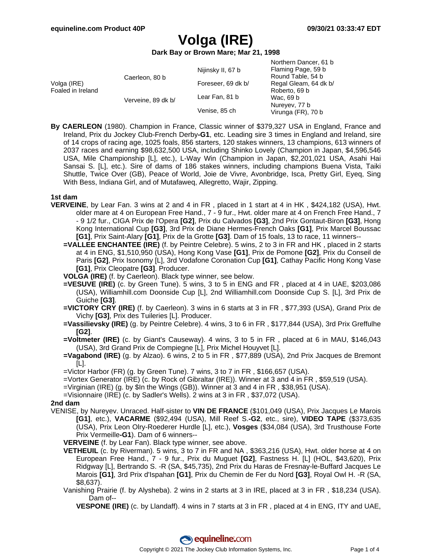Northern Dancer, 61 b

# **Volga (IRE)**

**Dark Bay or Brown Mare; Mar 21, 1998**

|                                  | Caerleon, 80 b     | Nijinsky II, 67 b  | <u>INUILIEIII DAIIUEI. UT D</u><br>Flaming Page, 59 b<br>Round Table, 54 b |
|----------------------------------|--------------------|--------------------|----------------------------------------------------------------------------|
| Volga (IRE)<br>Foaled in Ireland |                    | Foreseer, 69 dk b/ | Regal Gleam, 64 dk b/                                                      |
|                                  | Verveine, 89 dk b/ | Lear Fan, 81 b     | Roberto, 69 b<br>Wac, 69 b<br>Nureyev, 77 b<br>Virunga (FR), 70 b          |
|                                  |                    | Venise, 85 ch      |                                                                            |

**By CAERLEON** (1980). Champion in France, Classic winner of \$379,327 USA in England, France and Ireland, Prix du Jockey Club-French Derby**-G1**, etc. Leading sire 3 times in England and Ireland, sire of 14 crops of racing age, 1025 foals, 856 starters, 120 stakes winners, 13 champions, 613 winners of 2037 races and earning \$98,632,500 USA, including Shinko Lovely (Champion in Japan, \$4,596,546 USA, Mile Championship [L], etc.), L-Way Win (Champion in Japan, \$2,201,021 USA, Asahi Hai Sansai S. [L], etc.). Sire of dams of 186 stakes winners, including champions Buena Vista, Taiki Shuttle, Twice Over (GB), Peace of World, Joie de Vivre, Avonbridge, Isca, Pretty Girl, Eyeq, Sing With Bess, Indiana Girl, and of Mutafaweq, Allegretto, Wajir, Zipping.

### **1st dam**

- **VERVEINE**, by Lear Fan. 3 wins at 2 and 4 in FR , placed in 1 start at 4 in HK , \$424,182 (USA), Hwt. older mare at 4 on European Free Hand., 7 - 9 fur., Hwt. older mare at 4 on French Free Hand., 7 - 9 1/2 fur., CIGA Prix de l'Opera **[G2]**, Prix du Calvados **[G3]**, 2nd Prix Gontaut-Biron **[G3]**, Hong Kong International Cup **[G3]**, 3rd Prix de Diane Hermes-French Oaks **[G1]**, Prix Marcel Boussac **[G1]**, Prix Saint-Alary **[G1]**, Prix de la Grotte **[G3]**. Dam of 15 foals, 13 to race, 11 winners--
	- **=VALLEE ENCHANTEE (IRE)** (f. by Peintre Celebre). 5 wins, 2 to 3 in FR and HK , placed in 2 starts at 4 in ENG, \$1,510,950 (USA), Hong Kong Vase **[G1]**, Prix de Pomone **[G2]**, Prix du Conseil de Paris **[G2]**, Prix Isonomy [L], 3rd Vodafone Coronation Cup **[G1]**, Cathay Pacific Hong Kong Vase **[G1]**, Prix Cleopatre **[G3]**. Producer.
	- **VOLGA (IRE)** (f. by Caerleon). Black type winner, see below.
	- **=VESUVE (IRE)** (c. by Green Tune). 5 wins, 3 to 5 in ENG and FR , placed at 4 in UAE, \$203,086 (USA), Williamhill.com Doonside Cup [L], 2nd Williamhill.com Doonside Cup S. [L], 3rd Prix de Guiche **[G3]**.
	- **=VICTORY CRY (IRE)** (f. by Caerleon). 3 wins in 6 starts at 3 in FR , \$77,393 (USA), Grand Prix de Vichy **[G3]**, Prix des Tuileries [L]. Producer.
	- **=Vassilievsky (IRE)** (g. by Peintre Celebre). 4 wins, 3 to 6 in FR , \$177,844 (USA), 3rd Prix Greffulhe **[G2]**.
	- **=Voltmeter (IRE)** (c. by Giant's Causeway). 4 wins, 3 to 5 in FR , placed at 6 in MAU, \$146,043 (USA), 3rd Grand Prix de Compiegne [L], Prix Michel Houyvet [L].
	- **=Vagabond (IRE)** (g. by Alzao). 6 wins, 2 to 5 in FR , \$77,889 (USA), 2nd Prix Jacques de Bremont [L].
	- =Victor Harbor (FR) (g. by Green Tune). 7 wins, 3 to 7 in FR , \$166,657 (USA).
	- =Vortex Generator (IRE) (c. by Rock of Gibraltar (IRE)). Winner at 3 and 4 in FR , \$59,519 (USA).
	- =Virginian (IRE) (g. by \$In the Wings (GB)). Winner at 3 and 4 in FR , \$38,951 (USA).
	- =Visionnaire (IRE) (c. by Sadler's Wells). 2 wins at 3 in FR , \$37,072 (USA).

**2nd dam**

- VENISE, by Nureyev. Unraced. Half-sister to **VIN DE FRANCE** (\$101,049 (USA), Prix Jacques Le Marois **[G1]**, etc.), **VACARME** (\$92,494 (USA), Mill Reef S.**-G2**, etc., sire), **VIDEO TAPE** (\$373,635 (USA), Prix Leon Olry-Roederer Hurdle [L], etc.), **Vosges** (\$34,084 (USA), 3rd Trusthouse Forte Prix Vermeille**-G1**). Dam of 6 winners--
	- **VERVEINE** (f. by Lear Fan). Black type winner, see above.
	- **VETHEUIL** (c. by Riverman). 5 wins, 3 to 7 in FR and NA , \$363,216 (USA), Hwt. older horse at 4 on European Free Hand., 7 - 9 fur., Prix du Muguet **[G2]**, Fastness H. [L] (HOL, \$43,620), Prix Ridgway [L], Bertrando S. -R (SA, \$45,735), 2nd Prix du Haras de Fresnay-le-Buffard Jacques Le Marois **[G1]**, 3rd Prix d'Ispahan **[G1]**, Prix du Chemin de Fer du Nord **[G3]**, Royal Owl H. -R (SA, \$8,637).
	- Vanishing Prairie (f. by Alysheba). 2 wins in 2 starts at 3 in IRE, placed at 3 in FR , \$18,234 (USA). Dam of--
		- **VESPONE (IRE)** (c. by Llandaff). 4 wins in 7 starts at 3 in FR , placed at 4 in ENG, ITY and UAE,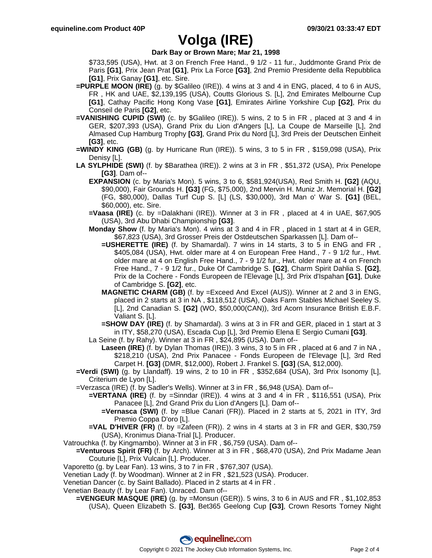## **Volga (IRE)**

### **Dark Bay or Brown Mare; Mar 21, 1998**

\$733,595 (USA), Hwt. at 3 on French Free Hand., 9 1/2 - 11 fur., Juddmonte Grand Prix de Paris **[G1]**, Prix Jean Prat **[G1]**, Prix La Force **[G3]**, 2nd Premio Presidente della Repubblica **[G1]**, Prix Ganay **[G1]**, etc. Sire.

- **=PURPLE MOON (IRE)** (g. by \$Galileo (IRE)). 4 wins at 3 and 4 in ENG, placed, 4 to 6 in AUS, FR , HK and UAE, \$2,139,195 (USA), Coutts Glorious S. [L], 2nd Emirates Melbourne Cup **[G1]**, Cathay Pacific Hong Kong Vase **[G1]**, Emirates Airline Yorkshire Cup **[G2]**, Prix du Conseil de Paris **[G2]**, etc.
- **=VANISHING CUPID (SWI)** (c. by \$Galileo (IRE)). 5 wins, 2 to 5 in FR , placed at 3 and 4 in GER, \$207,393 (USA), Grand Prix du Lion d'Angers [L], La Coupe de Marseille [L], 2nd Almased Cup Hamburg Trophy **[G3]**, Grand Prix du Nord [L], 3rd Preis der Deutschen Einheit **[G3]**, etc.
- **=WINDY KING (GB)** (g. by Hurricane Run (IRE)). 5 wins, 3 to 5 in FR , \$159,098 (USA), Prix Denisy [L].
- **LA SYLPHIDE (SWI)** (f. by \$Barathea (IRE)). 2 wins at 3 in FR , \$51,372 (USA), Prix Penelope **[G3]**. Dam of--
	- **EXPANSION** (c. by Maria's Mon). 5 wins, 3 to 6, \$581,924(USA), Red Smith H. **[G2]** (AQU, \$90,000), Fair Grounds H. **[G3]** (FG, \$75,000), 2nd Mervin H. Muniz Jr. Memorial H. **[G2]** (FG, \$80,000), Dallas Turf Cup S. [L] (LS, \$30,000), 3rd Man o' War S. **[G1]** (BEL, \$60,000), etc. Sire.
	- **=Vaasa (IRE)** (c. by =Dalakhani (IRE)). Winner at 3 in FR , placed at 4 in UAE, \$67,905 (USA), 3rd Abu Dhabi Championship **[G3]**.
	- **Monday Show** (f. by Maria's Mon). 4 wins at 3 and 4 in FR , placed in 1 start at 4 in GER, \$67,823 (USA), 3rd Grosser Preis der Ostdeutschen Sparkassen [L]. Dam of--
		- **=USHERETTE (IRE)** (f. by Shamardal). 7 wins in 14 starts, 3 to 5 in ENG and FR , \$405,084 (USA), Hwt. older mare at 4 on European Free Hand., 7 - 9 1/2 fur., Hwt. older mare at 4 on English Free Hand., 7 - 9 1/2 fur., Hwt. older mare at 4 on French Free Hand., 7 - 9 1/2 fur., Duke Of Cambridge S. **[G2]**, Charm Spirit Dahlia S. **[G2]**, Prix de la Cochere - Fonds Europeen de l'Elevage [L], 3rd Prix d'Ispahan **[G1]**, Duke of Cambridge S. **[G2]**, etc.
		- **MAGNETIC CHARM (GB)** (f. by =Exceed And Excel (AUS)). Winner at 2 and 3 in ENG, placed in 2 starts at 3 in NA , \$118,512 (USA), Oaks Farm Stables Michael Seeley S. [L], 2nd Canadian S. **[G2]** (WO, \$50,000(CAN)), 3rd Acorn Insurance British E.B.F. Valiant S. [L].
		- **=SHOW DAY (IRE)** (f. by Shamardal). 3 wins at 3 in FR and GER, placed in 1 start at 3 in ITY, \$58,270 (USA), Escada Cup [L], 3rd Premio Elena E Sergio Cumani **[G3]**.
	- La Seine (f. by Rahy). Winner at 3 in FR , \$24,895 (USA). Dam of--
		- **Laseen (IRE)** (f. by Dylan Thomas (IRE)). 3 wins, 3 to 5 in FR , placed at 6 and 7 in NA , \$218,210 (USA), 2nd Prix Panacee - Fonds Europeen de l'Elevage [L], 3rd Red Carpet H. **[G3]** (DMR, \$12,000), Robert J. Frankel S. **[G3]** (SA, \$12,000).
- **=Verdi (SWI)** (g. by Llandaff). 19 wins, 2 to 10 in FR , \$352,684 (USA), 3rd Prix Isonomy [L], Criterium de Lyon [L].
- =Verzasca (IRE) (f. by Sadler's Wells). Winner at 3 in FR , \$6,948 (USA). Dam of--
	- **=VERTANA (IRE)** (f. by =Sinndar (IRE)). 4 wins at 3 and 4 in FR , \$116,551 (USA), Prix Panacee [L], 2nd Grand Prix du Lion d'Angers [L]. Dam of--
		- **=Vernasca (SWI)** (f. by =Blue Canari (FR)). Placed in 2 starts at 5, 2021 in ITY, 3rd Premio Coppa D'oro [L].
	- **=VAL D'HIVER (FR)** (f. by =Zafeen (FR)). 2 wins in 4 starts at 3 in FR and GER, \$30,759 (USA), Kronimus Diana-Trial [L]. Producer.
- Vatrouchka (f. by Kingmambo). Winner at 3 in FR , \$6,759 (USA). Dam of--
	- **=Venturous Spirit (FR)** (f. by Arch). Winner at 3 in FR , \$68,470 (USA), 2nd Prix Madame Jean Couturie [L], Prix Vulcain [L]. Producer.
- Vaporetto (g. by Lear Fan). 13 wins, 3 to 7 in FR , \$767,307 (USA).
- Venetian Lady (f. by Woodman). Winner at 2 in FR , \$21,523 (USA). Producer.
- Venetian Dancer (c. by Saint Ballado). Placed in 2 starts at 4 in FR .
- Venetian Beauty (f. by Lear Fan). Unraced. Dam of--
	- **=VENGEUR MASQUE (IRE)** (g. by =Monsun (GER)). 5 wins, 3 to 6 in AUS and FR , \$1,102,853 (USA), Queen Elizabeth S. **[G3]**, Bet365 Geelong Cup **[G3]**, Crown Resorts Torney Night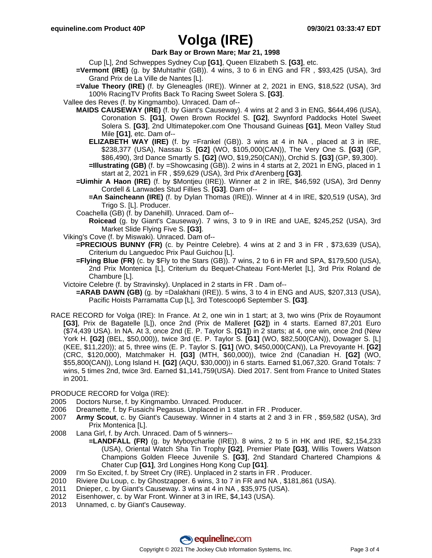## **Volga (IRE)**

**Dark Bay or Brown Mare; Mar 21, 1998**

- Cup [L], 2nd Schweppes Sydney Cup **[G1]**, Queen Elizabeth S. **[G3]**, etc.
- **=Vermont (IRE)** (g. by \$Muhtathir (GB)). 4 wins, 3 to 6 in ENG and FR , \$93,425 (USA), 3rd Grand Prix de La Ville de Nantes [L].
- **=Value Theory (IRE)** (f. by Gleneagles (IRE)). Winner at 2, 2021 in ENG, \$18,522 (USA), 3rd 100% RacingTV Profits Back To Racing Sweet Solera S. **[G3]**.
- Vallee des Reves (f. by Kingmambo). Unraced. Dam of--
	- **MAIDS CAUSEWAY (IRE)** (f. by Giant's Causeway). 4 wins at 2 and 3 in ENG, \$644,496 (USA), Coronation S. **[G1]**, Owen Brown Rockfel S. **[G2]**, Swynford Paddocks Hotel Sweet Solera S. **[G3]**, 2nd Ultimatepoker.com One Thousand Guineas **[G1]**, Meon Valley Stud Mile **[G1]**, etc. Dam of--
		- **ELIZABETH WAY (IRE)** (f. by =Frankel (GB)). 3 wins at 4 in NA , placed at 3 in IRE, \$238,377 (USA), Nassau S. **[G2]** (WO, \$105,000(CAN)), The Very One S. **[G3]** (GP, \$86,490), 3rd Dance Smartly S. **[G2]** (WO, \$19,250(CAN)), Orchid S. **[G3]** (GP, \$9,300).
		- **=Illustrating (GB)** (f. by =Showcasing (GB)). 2 wins in 4 starts at 2, 2021 in ENG, placed in 1 start at 2, 2021 in FR , \$59,629 (USA), 3rd Prix d'Arenberg **[G3]**.
	- **=Uimhir A Haon (IRE)** (f. by \$Montjeu (IRE)). Winner at 2 in IRE, \$46,592 (USA), 3rd Denny Cordell & Lanwades Stud Fillies S. **[G3]**. Dam of--
		- **=An Saincheann (IRE)** (f. by Dylan Thomas (IRE)). Winner at 4 in IRE, \$20,519 (USA), 3rd Trigo S. [L]. Producer.
	- Coachella (GB) (f. by Danehill). Unraced. Dam of--
		- **Roicead** (g. by Giant's Causeway). 7 wins, 3 to 9 in IRE and UAE, \$245,252 (USA), 3rd Market Slide Flying Five S. **[G3]**.
- Viking's Cove (f. by Miswaki). Unraced. Dam of--
	- **=PRECIOUS BUNNY (FR)** (c. by Peintre Celebre). 4 wins at 2 and 3 in FR , \$73,639 (USA), Criterium du Languedoc Prix Paul Guichou [L].
	- **=Flying Blue (FR)** (c. by \$Fly to the Stars (GB)). 7 wins, 2 to 6 in FR and SPA, \$179,500 (USA), 2nd Prix Montenica [L], Criterium du Bequet-Chateau Font-Merlet [L], 3rd Prix Roland de Chambure [L].
- Victoire Celebre (f. by Stravinsky). Unplaced in 2 starts in FR . Dam of--
	- **=ARAB DAWN (GB)** (g. by =Dalakhani (IRE)). 5 wins, 3 to 4 in ENG and AUS, \$207,313 (USA), Pacific Hoists Parramatta Cup [L], 3rd Totescoop6 September S. **[G3]**.
- RACE RECORD for Volga (IRE): In France. At 2, one win in 1 start; at 3, two wins (Prix de Royaumont **[G3]**, Prix de Bagatelle [L]), once 2nd (Prix de Malleret **[G2]**) in 4 starts. Earned 87,201 Euro (\$74,439 USA). In NA. At 3, once 2nd (E. P. Taylor S. **[G1]**) in 2 starts; at 4, one win, once 2nd (New York H. **[G2]** (BEL, \$50,000)), twice 3rd (E. P. Taylor S. **[G1]** (WO, \$82,500(CAN)), Dowager S. [L] (KEE, \$11,220)); at 5, three wins (E. P. Taylor S. **[G1]** (WO, \$450,000(CAN)), La Prevoyante H. **[G2]** (CRC, \$120,000), Matchmaker H. **[G3]** (MTH, \$60,000)), twice 2nd (Canadian H. **[G2]** (WO, \$55,800(CAN)), Long Island H. **[G2]** (AQU, \$30,000)) in 6 starts. Earned \$1,067,320. Grand Totals: 7 wins, 5 times 2nd, twice 3rd. Earned \$1,141,759(USA). Died 2017. Sent from France to United States in 2001.

### PRODUCE RECORD for Volga (IRE):

- 2005 Doctors Nurse, f. by Kingmambo. Unraced. Producer.
- 2006 Dreamette, f. by Fusaichi Pegasus. Unplaced in 1 start in FR . Producer.
- 2007 **Army Scout**, c. by Giant's Causeway. Winner in 4 starts at 2 and 3 in FR , \$59,582 (USA), 3rd Prix Montenica [L].
- 2008 Lana Girl, f. by Arch. Unraced. Dam of 5 winners--
	- **=LANDFALL (FR)** (g. by Myboycharlie (IRE)). 8 wins, 2 to 5 in HK and IRE, \$2,154,233 (USA), Oriental Watch Sha Tin Trophy **[G2]**, Premier Plate **[G3]**, Willis Towers Watson Champions Golden Fleece Juvenile S. **[G3]**, 2nd Standard Chartered Champions & Chater Cup **[G1]**, 3rd Longines Hong Kong Cup **[G1]**.
- 2009 I'm So Excited, f. by Street Cry (IRE). Unplaced in 2 starts in FR . Producer.
- 2010 Riviere Du Loup, c. by Ghostzapper. 6 wins, 3 to 7 in FR and NA , \$181,861 (USA).
- 2011 Dnieper, c. by Giant's Causeway. 3 wins at 4 in NA , \$35,975 (USA).
- 2012 Eisenhower, c. by War Front. Winner at 3 in IRE, \$4,143 (USA).
- 2013 Unnamed, c. by Giant's Causeway.